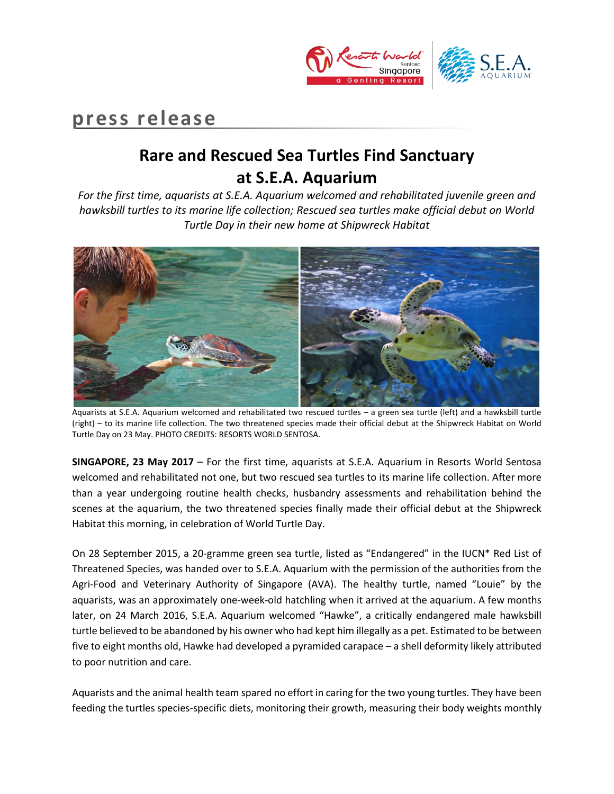

## **press release**

# **Rare and Rescued Sea Turtles Find Sanctuary at S.E.A. Aquarium**

*For the first time, aquarists at S.E.A. Aquarium welcomed and rehabilitated juvenile green and hawksbill turtles to its marine life collection; Rescued sea turtles make official debut on World Turtle Day in their new home at Shipwreck Habitat*



Aquarists at S.E.A. Aquarium welcomed and rehabilitated two rescued turtles – a green sea turtle (left) and a hawksbill turtle (right) – to its marine life collection. The two threatened species made their official debut at the Shipwreck Habitat on World Turtle Day on 23 May. PHOTO CREDITS: RESORTS WORLD SENTOSA.

**SINGAPORE, 23 May 2017** – For the first time, aquarists at S.E.A. Aquarium in Resorts World Sentosa welcomed and rehabilitated not one, but two rescued sea turtles to its marine life collection. After more than a year undergoing routine health checks, husbandry assessments and rehabilitation behind the scenes at the aquarium, the two threatened species finally made their official debut at the Shipwreck Habitat this morning, in celebration of World Turtle Day.

On 28 September 2015, a 20-gramme green sea turtle, listed as "Endangered" in the IUCN\* Red List of Threatened Species, was handed over to S.E.A. Aquarium with the permission of the authorities from the Agri-Food and Veterinary Authority of Singapore (AVA). The healthy turtle, named "Louie" by the aquarists, was an approximately one-week-old hatchling when it arrived at the aquarium. A few months later, on 24 March 2016, S.E.A. Aquarium welcomed "Hawke", a critically endangered male hawksbill turtle believed to be abandoned by his owner who had kept him illegally as a pet. Estimated to be between five to eight months old, Hawke had developed a pyramided carapace – a shell deformity likely attributed to poor nutrition and care.

Aquarists and the animal health team spared no effort in caring for the two young turtles. They have been feeding the turtles species-specific diets, monitoring their growth, measuring their body weights monthly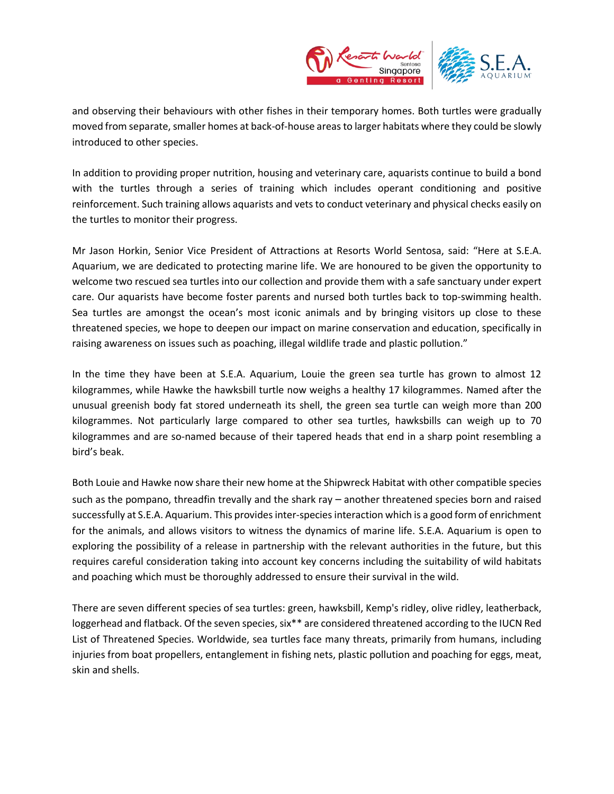

and observing their behaviours with other fishes in their temporary homes. Both turtles were gradually moved from separate, smaller homes at back-of-house areas to larger habitats where they could be slowly introduced to other species.

In addition to providing proper nutrition, housing and veterinary care, aquarists continue to build a bond with the turtles through a series of training which includes operant conditioning and positive reinforcement. Such training allows aquarists and vets to conduct veterinary and physical checks easily on the turtles to monitor their progress.

Mr Jason Horkin, Senior Vice President of Attractions at Resorts World Sentosa, said: "Here at S.E.A. Aquarium, we are dedicated to protecting marine life. We are honoured to be given the opportunity to welcome two rescued sea turtles into our collection and provide them with a safe sanctuary under expert care. Our aquarists have become foster parents and nursed both turtles back to top-swimming health. Sea turtles are amongst the ocean's most iconic animals and by bringing visitors up close to these threatened species, we hope to deepen our impact on marine conservation and education, specifically in raising awareness on issues such as poaching, illegal wildlife trade and plastic pollution."

In the time they have been at S.E.A. Aquarium, Louie the green sea turtle has grown to almost 12 kilogrammes, while Hawke the hawksbill turtle now weighs a healthy 17 kilogrammes. Named after the unusual greenish body fat stored underneath its shell, the green sea turtle can weigh more than 200 kilogrammes. Not particularly large compared to other sea turtles, hawksbills can weigh up to 70 kilogrammes and are so-named because of their tapered heads that end in a sharp point resembling a bird's beak.

Both Louie and Hawke now share their new home at the Shipwreck Habitat with other compatible species such as the pompano, threadfin trevally and the shark ray – another threatened species born and raised successfully at S.E.A. Aquarium. This provides inter-species interaction which is a good form of enrichment for the animals, and allows visitors to witness the dynamics of marine life. S.E.A. Aquarium is open to exploring the possibility of a release in partnership with the relevant authorities in the future, but this requires careful consideration taking into account key concerns including the suitability of wild habitats and poaching which must be thoroughly addressed to ensure their survival in the wild.

There are seven different species of sea turtles: green, hawksbill, Kemp's ridley, olive ridley, leatherback, loggerhead and flatback. Of the seven species, six\*\* are considered threatened according to the IUCN Red List of Threatened Species. Worldwide, sea turtles face many threats, primarily from humans, including injuries from boat propellers, entanglement in fishing nets, plastic pollution and poaching for eggs, meat, skin and shells.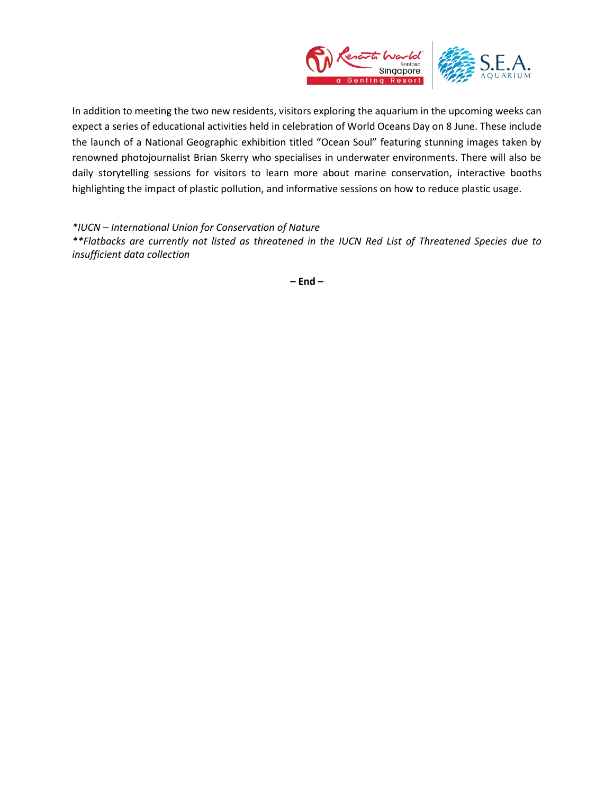

In addition to meeting the two new residents, visitors exploring the aquarium in the upcoming weeks can expect a series of educational activities held in celebration of World Oceans Day on 8 June. These include the launch of a National Geographic exhibition titled "Ocean Soul" featuring stunning images taken by renowned photojournalist Brian Skerry who specialises in underwater environments. There will also be daily storytelling sessions for visitors to learn more about marine conservation, interactive booths highlighting the impact of plastic pollution, and informative sessions on how to reduce plastic usage.

*\*IUCN – International Union for Conservation of Nature*

*\*\*Flatbacks are currently not listed as threatened in the IUCN Red List of Threatened Species due to insufficient data collection* 

**– End –**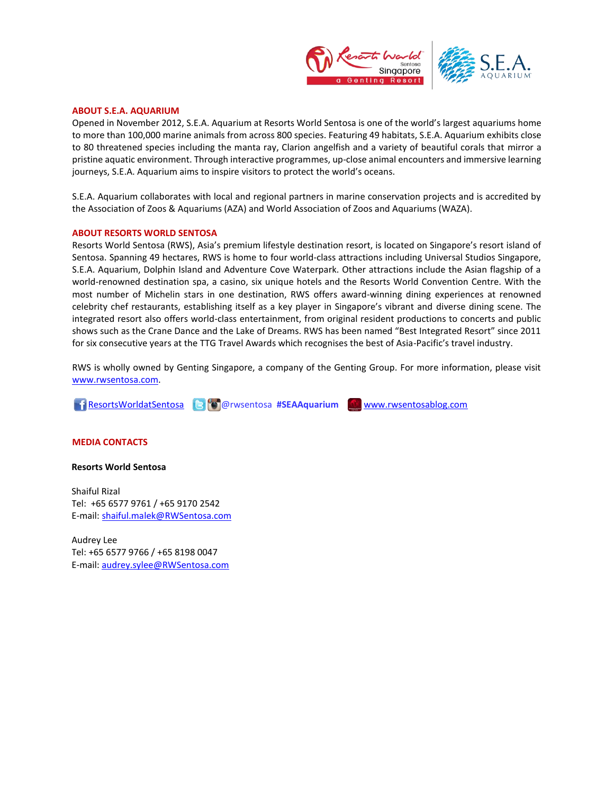

## **ABOUT S.E.A. AQUARIUM**

Opened in November 2012, S.E.A. Aquarium at Resorts World Sentosa is one of the world's largest aquariums home to more than 100,000 marine animals from across 800 species. Featuring 49 habitats, S.E.A. Aquarium exhibits close to 80 threatened species including the manta ray, Clarion angelfish and a variety of beautiful corals that mirror a pristine aquatic environment. Through interactive programmes, up-close animal encounters and immersive learning journeys, S.E.A. Aquarium aims to inspire visitors to protect the world's oceans.

S.E.A. Aquarium collaborates with local and regional partners in marine conservation projects and is accredited by the Association of Zoos & Aquariums (AZA) and World Association of Zoos and Aquariums (WAZA).

#### **ABOUT RESORTS WORLD SENTOSA**

Resorts World Sentosa (RWS), Asia's premium lifestyle destination resort, is located on Singapore's resort island of Sentosa. Spanning 49 hectares, RWS is home to four world-class attractions including Universal Studios Singapore, S.E.A. Aquarium, Dolphin Island and Adventure Cove Waterpark. Other attractions include the Asian flagship of a world-renowned destination spa, a casino, six unique hotels and the Resorts World Convention Centre. With the most number of Michelin stars in one destination, RWS offers award-winning dining experiences at renowned celebrity chef restaurants, establishing itself as a key player in Singapore's vibrant and diverse dining scene. The integrated resort also offers world-class entertainment, from original resident productions to concerts and public shows such as the Crane Dance and the Lake of Dreams. RWS has been named "Best Integrated Resort" since 2011 for six consecutive years at the TTG Travel Awards which recognises the best of Asia-Pacific's travel industry.

RWS is wholly owned by Genting Singapore, a company of the Genting Group. For more information, please visit [www.rwsentosa.com.](http://www.rwsentosa.com/)

**ResortsWorldatSentosa @** @rwsentosa #SEAAquarium **WWW.rwsentosablog.com** 

## **MEDIA CONTACTS**

### **Resorts World Sentosa**

Shaiful Rizal Tel: +65 6577 9761 / +65 9170 2542 E-mail[: shaiful.malek@RWSentosa.com](mailto:shaiful.malek@RWSentosa.com)

Audrey Lee Tel: +65 6577 9766 / +65 8198 0047 E-mail[: audrey.sylee@RWSentosa.com](mailto:audrey.sylee@RWSentosa.com)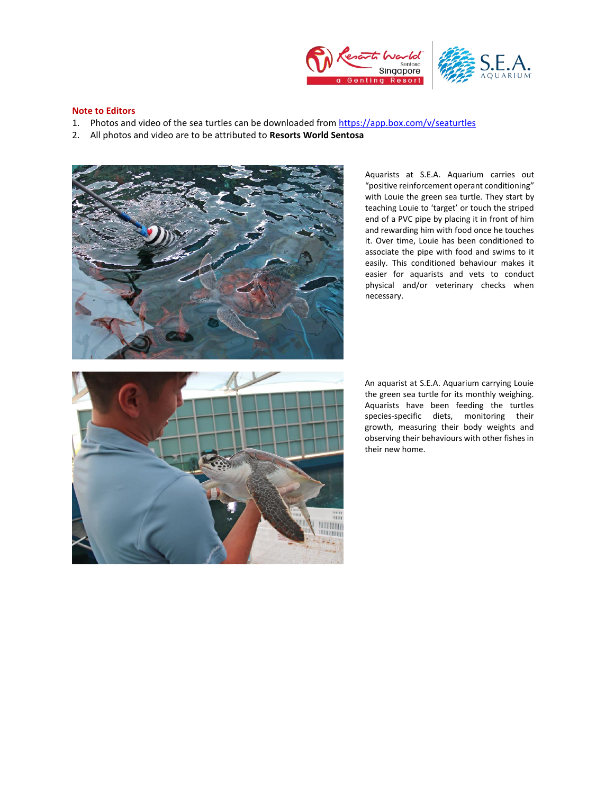



## **Note to Editors**

- 1. Photos and video of the sea turtles can be downloaded from<https://app.box.com/v/seaturtles>
- 2. All photos and video are to be attributed to **Resorts World Sentosa**



Aquarists at S.E.A. Aquarium carries out "positive reinforcement operant conditioning" with Louie the green sea turtle. They start by teaching Louie to 'target' or touch the striped end of a PVC pipe by placing it in front of him and rewarding him with food once he touches it. Over time, Louie has been conditioned to associate the pipe with food and swims to it easily. This conditioned behaviour makes it easier for aquarists and vets to conduct physical and/or veterinary checks when necessary.



An aquarist at S.E.A. Aquarium carrying Louie the green sea turtle for its monthly weighing. Aquarists have been feeding the turtles species-specific diets, monitoring their growth, measuring their body weights and observing their behaviours with other fishes in their new home.